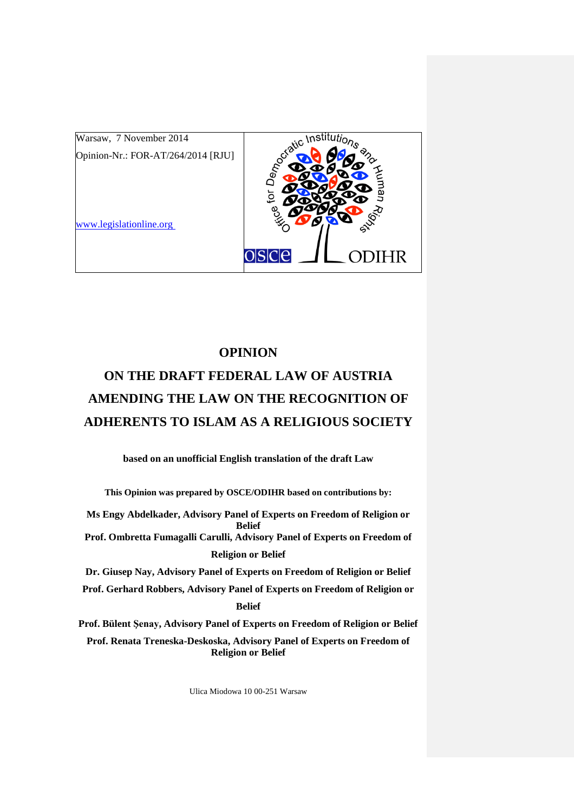

## **OPINION**

# **ON THE DRAFT FEDERAL LAW OF AUSTRIA AMENDING THE LAW ON THE RECOGNITION OF ADHERENTS TO ISLAM AS A RELIGIOUS SOCIETY**

**based on an unofficial English translation of the draft Law**

**This Opinion was prepared by OSCE/ODIHR based on contributions by:**

**Ms Engy Abdelkader, Advisory Panel of Experts on Freedom of Religion or Belief Prof. Ombretta Fumagalli Carulli, Advisory Panel of Experts on Freedom of Religion or Belief**

**Dr. Giusep Nay, Advisory Panel of Experts on Freedom of Religion or Belief Prof. Gerhard Robbers, Advisory Panel of Experts on Freedom of Religion or Belief**

**Prof. Bülent Şenay, Advisory Panel of Experts on Freedom of Religion or Belief**

**Prof. Renata Treneska-Deskoska, Advisory Panel of Experts on Freedom of Religion or Belief**

Ulica Miodowa 10 00-251 Warsaw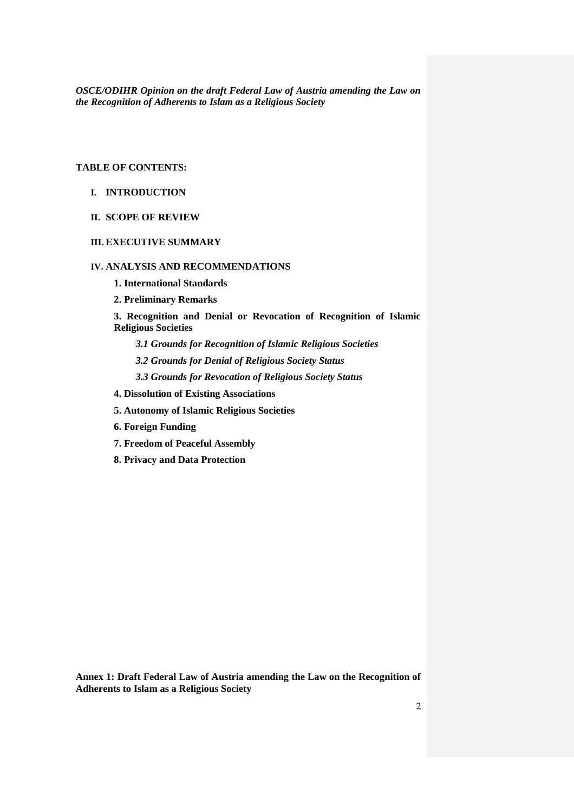## **TABLE OF CONTENTS:**

- **I. INTRODUCTION**
- **II. SCOPE OF REVIEW**

## **III. EXECUTIVE SUMMARY**

#### **IV. ANALYSIS AND RECOMMENDATIONS**

**1. International Standards**

**2. Preliminary Remarks**

**3. Recognition and Denial or Revocation of Recognition of Islamic Religious Societies**

*3.1 Grounds for Recognition of Islamic Religious Societies*

*3.2 Grounds for Denial of Religious Society Status*

*3.3 Grounds for Revocation of Religious Society Status*

**4. Dissolution of Existing Associations**

**5. Autonomy of Islamic Religious Societies**

**6. Foreign Funding**

**7. Freedom of Peaceful Assembly**

**8. Privacy and Data Protection**

**Annex 1: Draft Federal Law of Austria amending the Law on the Recognition of Adherents to Islam as a Religious Society**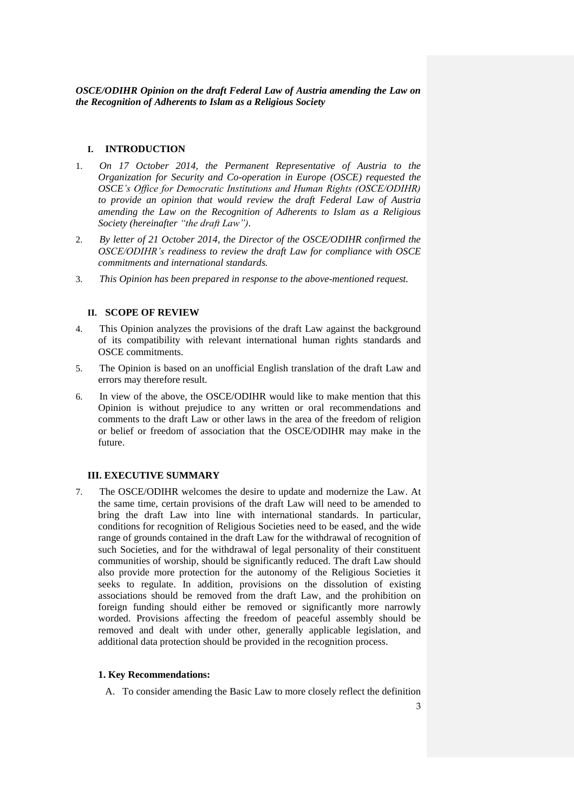#### **I. INTRODUCTION**

- 1. *On 17 October 2014, the Permanent Representative of Austria to the Organization for Security and Co-operation in Europe (OSCE) requested the OSCE's Office for Democratic Institutions and Human Rights (OSCE/ODIHR) to provide an opinion that would review the draft Federal Law of Austria amending the Law on the Recognition of Adherents to Islam as a Religious Society (hereinafter "the draft Law").*
- 2. *By letter of 21 October 2014, the Director of the OSCE/ODIHR confirmed the OSCE/ODIHR's readiness to review the draft Law for compliance with OSCE commitments and international standards.*
- 3. *This Opinion has been prepared in response to the above-mentioned request.*

#### **II. SCOPE OF REVIEW**

- 4. This Opinion analyzes the provisions of the draft Law against the background of its compatibility with relevant international human rights standards and OSCE commitments.
- 5. The Opinion is based on an unofficial English translation of the draft Law and errors may therefore result.
- 6. In view of the above, the OSCE/ODIHR would like to make mention that this Opinion is without prejudice to any written or oral recommendations and comments to the draft Law or other laws in the area of the freedom of religion or belief or freedom of association that the OSCE/ODIHR may make in the future.

#### **III. EXECUTIVE SUMMARY**

7. The OSCE/ODIHR welcomes the desire to update and modernize the Law. At the same time, certain provisions of the draft Law will need to be amended to bring the draft Law into line with international standards. In particular, conditions for recognition of Religious Societies need to be eased, and the wide range of grounds contained in the draft Law for the withdrawal of recognition of such Societies, and for the withdrawal of legal personality of their constituent communities of worship, should be significantly reduced. The draft Law should also provide more protection for the autonomy of the Religious Societies it seeks to regulate. In addition, provisions on the dissolution of existing associations should be removed from the draft Law, and the prohibition on foreign funding should either be removed or significantly more narrowly worded. Provisions affecting the freedom of peaceful assembly should be removed and dealt with under other, generally applicable legislation, and additional data protection should be provided in the recognition process.

#### **1. Key Recommendations:**

A. To consider amending the Basic Law to more closely reflect the definition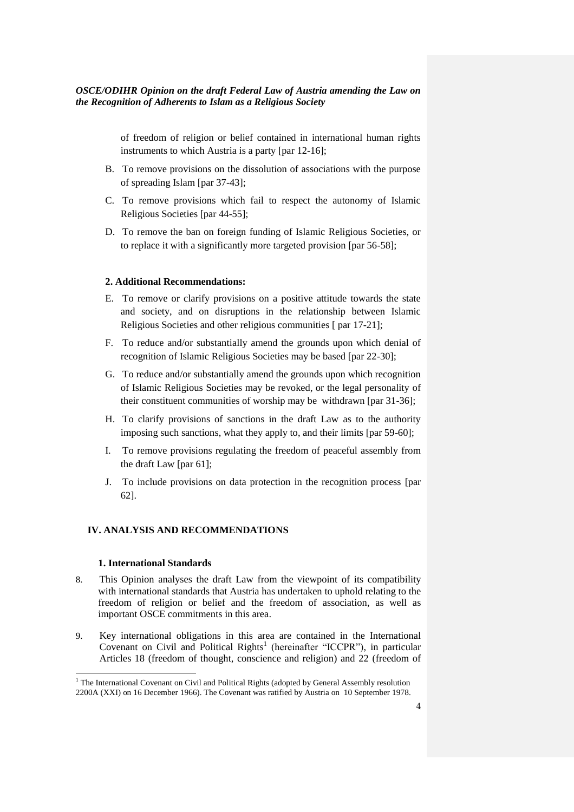of freedom of religion or belief contained in international human rights instruments to which Austria is a party [par 12-16];

- B. To remove provisions on the dissolution of associations with the purpose of spreading Islam [par 37-43];
- C. To remove provisions which fail to respect the autonomy of Islamic Religious Societies [par 44-55];
- D. To remove the ban on foreign funding of Islamic Religious Societies, or to replace it with a significantly more targeted provision [par 56-58];

#### **2. Additional Recommendations:**

- E. To remove or clarify provisions on a positive attitude towards the state and society, and on disruptions in the relationship between Islamic Religious Societies and other religious communities [ par 17-21];
- F. To reduce and/or substantially amend the grounds upon which denial of recognition of Islamic Religious Societies may be based [par 22-30];
- G. To reduce and/or substantially amend the grounds upon which recognition of Islamic Religious Societies may be revoked, or the legal personality of their constituent communities of worship may be withdrawn [par 31-36];
- H. To clarify provisions of sanctions in the draft Law as to the authority imposing such sanctions, what they apply to, and their limits [par 59-60];
- I. To remove provisions regulating the freedom of peaceful assembly from the draft Law [par 61];
- J. To include provisions on data protection in the recognition process [par 62].

#### **IV. ANALYSIS AND RECOMMENDATIONS**

#### **1. International Standards**

- 8. This Opinion analyses the draft Law from the viewpoint of its compatibility with international standards that Austria has undertaken to uphold relating to the freedom of religion or belief and the freedom of association, as well as important OSCE commitments in this area.
- 9. Key international obligations in this area are contained in the International Covenant on Civil and Political Rights<sup>1</sup> (hereinafter "ICCPR"), in particular Articles 18 (freedom of thought, conscience and religion) and 22 (freedom of

 $1$ <sup>1</sup> The International Covenant on Civil and Political Rights (adopted by General Assembly resolution 2200A (XXI) on 16 December 1966). The Covenant was ratified by Austria on 10 September 1978.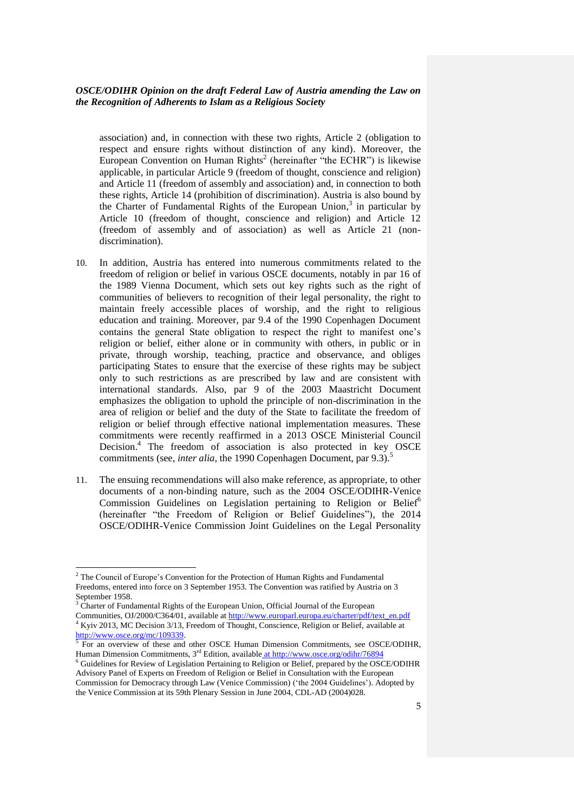association) and, in connection with these two rights, Article 2 (obligation to respect and ensure rights without distinction of any kind). Moreover, the European Convention on Human Rights<sup>2</sup> (hereinafter "the ECHR") is likewise applicable, in particular Article 9 (freedom of thought, conscience and religion) and Article 11 (freedom of assembly and association) and, in connection to both these rights, Article 14 (prohibition of discrimination). Austria is also bound by the Charter of Fundamental Rights of the European Union,<sup>3</sup> in particular by Article 10 (freedom of thought, conscience and religion) and Article 12 (freedom of assembly and of association) as well as Article 21 (nondiscrimination).

- 10. In addition, Austria has entered into numerous commitments related to the freedom of religion or belief in various OSCE documents, notably in par 16 of the 1989 Vienna Document, which sets out key rights such as the right of communities of believers to recognition of their legal personality, the right to maintain freely accessible places of worship, and the right to religious education and training. Moreover, par 9.4 of the 1990 Copenhagen Document contains the general State obligation to respect the right to manifest one's religion or belief, either alone or in community with others, in public or in private, through worship, teaching, practice and observance, and obliges participating States to ensure that the exercise of these rights may be subject only to such restrictions as are prescribed by law and are consistent with international standards. Also, par 9 of the 2003 Maastricht Document emphasizes the obligation to uphold the principle of non-discrimination in the area of religion or belief and the duty of the State to facilitate the freedom of religion or belief through effective national implementation measures. These commitments were recently reaffirmed in a 2013 OSCE Ministerial Council Decision.<sup>4</sup> The freedom of association is also protected in key OSCE commitments (see, *inter alia*, the 1990 Copenhagen Document, par 9.3).<sup>5</sup>
- 11. The ensuing recommendations will also make reference, as appropriate, to other documents of a non-binding nature, such as the 2004 OSCE/ODIHR-Venice Commission Guidelines on Legislation pertaining to Religion or Belief<sup>6</sup> (hereinafter "the Freedom of Religion or Belief Guidelines"), the 2014 OSCE/ODIHR-Venice Commission Joint Guidelines on the Legal Personality

<sup>3</sup> Charter of Fundamental Rights of the European Union, Official Journal of the European

Communities, OJ/2000/C364/01, available at [http://www.europarl.europa.eu/charter/pdf/text\\_en.pdf](http://www.europarl.europa.eu/charter/pdf/text_en.pdf) <sup>4</sup> Kyiv 2013, MC Decision 3/13, Freedom of Thought, Conscience, Religion or Belief, available at [http://www.osce.org/mc/109339.](http://www.osce.org/mc/109339)

<sup>&</sup>lt;sup>2</sup> The Council of Europe's Convention for the Protection of Human Rights and Fundamental Freedoms, entered into force on 3 September 1953. The Convention was ratified by Austria on 3 September 1958.

For an overview of these and other OSCE Human Dimension Commitments, see OSCE/ODIHR, Human Dimension Commitments, 3<sup>rd</sup> Edition, available a[t http://www.osce.org/odihr/76894](http://www.osce.org/odihr/76894)

<sup>6</sup> Guidelines for Review of Legislation Pertaining to Religion or Belief, prepared by the OSCE/ODIHR Advisory Panel of Experts on Freedom of Religion or Belief in Consultation with the European Commission for Democracy through Law (Venice Commission) ('the 2004 Guidelines'). Adopted by the Venice Commission at its 59th Plenary Session in June 2004, CDL-AD (2004)028.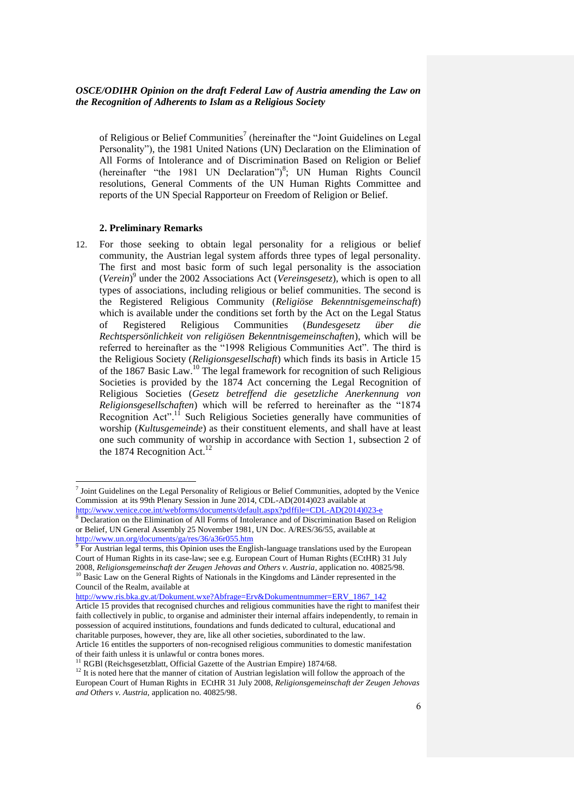of Religious or Belief Communities<sup>7</sup> (hereinafter the "Joint Guidelines on Legal Personality"), the 1981 United Nations (UN) Declaration on the Elimination of All Forms of Intolerance and of Discrimination Based on Religion or Belief (hereinafter "the 1981 UN Declaration")<sup>8</sup>; UN Human Rights Council resolutions, General Comments of the UN Human Rights Committee and reports of the UN Special Rapporteur on Freedom of Religion or Belief.

#### **2. Preliminary Remarks**

12. For those seeking to obtain legal personality for a religious or belief community, the Austrian legal system affords three types of legal personality. The first and most basic form of such legal personality is the association (*Verein*) 9 under the 2002 Associations Act (*Vereinsgesetz*), which is open to all types of associations, including religious or belief communities. The second is the Registered Religious Community (*Religiöse Bekenntnisgemeinschaft*) which is available under the conditions set forth by the Act on the Legal Status of Registered Religious Communities (*Bundesgesetz über die Rechtspersönlichkeit von religiösen Bekenntnisgemeinschaften*), which will be referred to hereinafter as the "1998 Religious Communities Act". The third is the Religious Society (*Religionsgesellschaft*) which finds its basis in Article 15 of the 1867 Basic Law.<sup>10</sup> The legal framework for recognition of such Religious Societies is provided by the 1874 Act concerning the Legal Recognition of Religious Societies (*Gesetz betreffend die gesetzliche Anerkennung von Religionsgesellschaften*) which will be referred to hereinafter as the "1874 Recognition Act".<sup>11</sup> Such Religious Societies generally have communities of worship (*Kultusgemeinde*) as their constituent elements, and shall have at least one such community of worship in accordance with Section 1, subsection 2 of the 1874 Recognition Act.<sup>12</sup>

[http://www.ris.bka.gv.at/Dokument.wxe?Abfrage=Erv&Dokumentnummer=ERV\\_1867\\_142](http://www.ris.bka.gv.at/Dokument.wxe?Abfrage=Erv&Dokumentnummer=ERV_1867_142)

 7 Joint Guidelines on the Legal Personality of Religious or Belief Communities, adopted by the Venice Commission at its 99th Plenary Session in June 2014, CDL-AD(2014)023 available at [http://www.venice.coe.int/webforms/documents/default.aspx?pdffile=CDL-AD\(2014\)023-e](http://www.venice.coe.int/webforms/documents/default.aspx?pdffile=CDL-AD(2014)023-e)

<sup>8</sup> Declaration on the Elimination of All Forms of Intolerance and of Discrimination Based on Religion or Belief, UN General Assembly 25 November 1981, UN Doc. A/RES/36/55, available at <http://www.un.org/documents/ga/res/36/a36r055.htm>

 $9$  For Austrian legal terms, this Opinion uses the English-language translations used by the European Court of Human Rights in its case-law; see e.g. European Court of Human Rights (ECtHR) 31 July 2008, *Religionsgemeinschaft der Zeugen Jehovas and Others v. Austria,* application no. 40825/98. <sup>10</sup> Basic Law on the General Rights of Nationals in the Kingdoms and Länder represented in the

Council of the Realm, available at

Article 15 provides that recognised churches and religious communities have the right to manifest their faith collectively in public, to organise and administer their internal affairs independently, to remain in possession of acquired institutions, foundations and funds dedicated to cultural, educational and charitable purposes, however, they are, like all other societies, subordinated to the law.

Article 16 entitles the supporters of non-recognised religious communities to domestic manifestation of their faith unless it is unlawful or contra bones mores.

RGBl (Reichsgesetzblatt, Official Gazette of the Austrian Empire) 1874/68.

<sup>&</sup>lt;sup>12</sup> It is noted here that the manner of citation of Austrian legislation will follow the approach of the European Court of Human Rights in ECtHR 31 July 2008, *Religionsgemeinschaft der Zeugen Jehovas and Others v. Austria,* application no. 40825/98.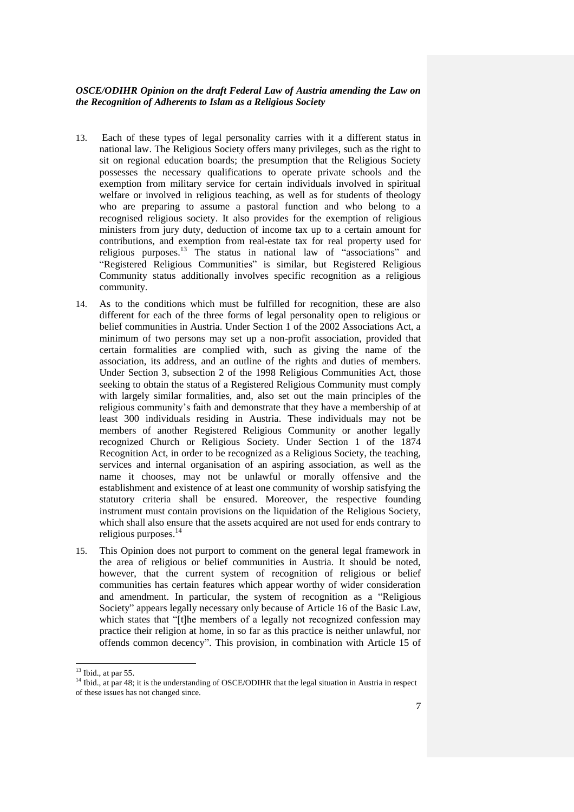- 13. Each of these types of legal personality carries with it a different status in national law. The Religious Society offers many privileges, such as the right to sit on regional education boards; the presumption that the Religious Society possesses the necessary qualifications to operate private schools and the exemption from military service for certain individuals involved in spiritual welfare or involved in religious teaching, as well as for students of theology who are preparing to assume a pastoral function and who belong to a recognised religious society. It also provides for the exemption of religious ministers from jury duty, deduction of income tax up to a certain amount for contributions, and exemption from real-estate tax for real property used for religious purposes.<sup>13</sup> The status in national law of "associations" and "Registered Religious Communities" is similar, but Registered Religious Community status additionally involves specific recognition as a religious community.
- 14. As to the conditions which must be fulfilled for recognition, these are also different for each of the three forms of legal personality open to religious or belief communities in Austria. Under Section 1 of the 2002 Associations Act, a minimum of two persons may set up a non-profit association, provided that certain formalities are complied with, such as giving the name of the association, its address, and an outline of the rights and duties of members. Under Section 3, subsection 2 of the 1998 Religious Communities Act, those seeking to obtain the status of a Registered Religious Community must comply with largely similar formalities, and, also set out the main principles of the religious community's faith and demonstrate that they have a membership of at least 300 individuals residing in Austria. These individuals may not be members of another Registered Religious Community or another legally recognized Church or Religious Society. Under Section 1 of the 1874 Recognition Act, in order to be recognized as a Religious Society, the teaching, services and internal organisation of an aspiring association, as well as the name it chooses, may not be unlawful or morally offensive and the establishment and existence of at least one community of worship satisfying the statutory criteria shall be ensured. Moreover, the respective founding instrument must contain provisions on the liquidation of the Religious Society, which shall also ensure that the assets acquired are not used for ends contrary to religious purposes.<sup>14</sup>
- 15. This Opinion does not purport to comment on the general legal framework in the area of religious or belief communities in Austria. It should be noted, however, that the current system of recognition of religious or belief communities has certain features which appear worthy of wider consideration and amendment. In particular, the system of recognition as a "Religious Society" appears legally necessary only because of Article 16 of the Basic Law, which states that "[t]he members of a legally not recognized confession may practice their religion at home, in so far as this practice is neither unlawful, nor offends common decency". This provision, in combination with Article 15 of

 $13$  Ibid., at par 55.

<sup>&</sup>lt;sup>14</sup> Ibid., at par 48; it is the understanding of OSCE/ODIHR that the legal situation in Austria in respect of these issues has not changed since.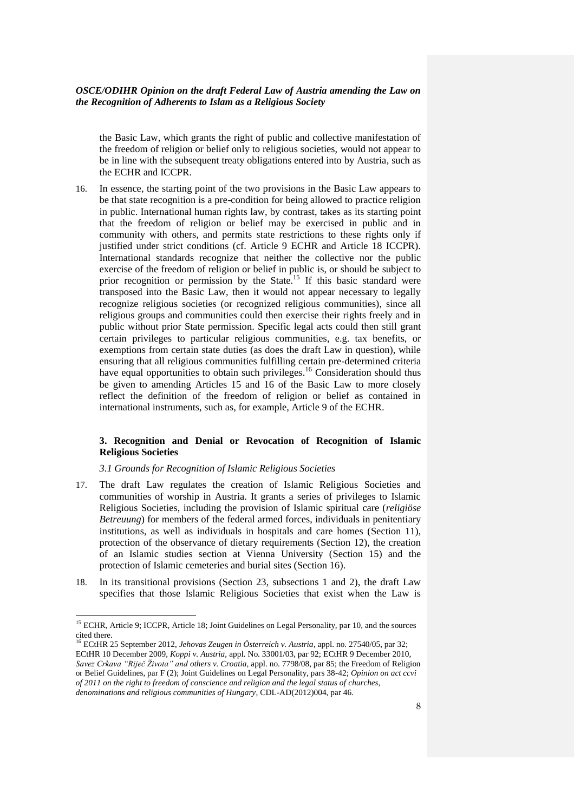the Basic Law, which grants the right of public and collective manifestation of the freedom of religion or belief only to religious societies, would not appear to be in line with the subsequent treaty obligations entered into by Austria, such as the ECHR and ICCPR.

16. In essence, the starting point of the two provisions in the Basic Law appears to be that state recognition is a pre-condition for being allowed to practice religion in public. International human rights law, by contrast, takes as its starting point that the freedom of religion or belief may be exercised in public and in community with others, and permits state restrictions to these rights only if justified under strict conditions (cf. Article 9 ECHR and Article 18 ICCPR). International standards recognize that neither the collective nor the public exercise of the freedom of religion or belief in public is, or should be subject to prior recognition or permission by the State.<sup>15</sup> If this basic standard were transposed into the Basic Law, then it would not appear necessary to legally recognize religious societies (or recognized religious communities), since all religious groups and communities could then exercise their rights freely and in public without prior State permission. Specific legal acts could then still grant certain privileges to particular religious communities, e.g. tax benefits, or exemptions from certain state duties (as does the draft Law in question), while ensuring that all religious communities fulfilling certain pre-determined criteria have equal opportunities to obtain such privileges.<sup>16</sup> Consideration should thus be given to amending Articles 15 and 16 of the Basic Law to more closely reflect the definition of the freedom of religion or belief as contained in international instruments, such as, for example, Article 9 of the ECHR.

#### **3. Recognition and Denial or Revocation of Recognition of Islamic Religious Societies**

#### *3.1 Grounds for Recognition of Islamic Religious Societies*

- 17. The draft Law regulates the creation of Islamic Religious Societies and communities of worship in Austria. It grants a series of privileges to Islamic Religious Societies, including the provision of Islamic spiritual care (*religiöse Betreuung*) for members of the federal armed forces, individuals in penitentiary institutions, as well as individuals in hospitals and care homes (Section 11), protection of the observance of dietary requirements (Section 12), the creation of an Islamic studies section at Vienna University (Section 15) and the protection of Islamic cemeteries and burial sites (Section 16).
- 18. In its transitional provisions (Section 23, subsections 1 and 2), the draft Law specifies that those Islamic Religious Societies that exist when the Law is

<sup>&</sup>lt;sup>15</sup> ECHR, Article 9; ICCPR, Article 18; Joint Guidelines on Legal Personality, par 10, and the sources cited there.

<sup>16</sup> ECtHR 25 September 2012, *Jehovas Zeugen in Österreich v. Austria*, appl. no. 27540/05, par 32; ECtHR 10 December 2009, *Koppi v. Austria,* appl. No. 33001/03, par 92; ECtHR 9 December 2010, *Savez Crkava "Riječ Života" and others v. Croatia,* appl. no. 7798/08, par 85; the Freedom of Religion or Belief Guidelines, par F (2); Joint Guidelines on Legal Personality, pars 38-42; *Opinion on act ccvi of 2011 on the right to freedom of conscience and religion and the legal status of churches, denominations and religious communities of Hungary*, CDL-AD(2012)004, par 46.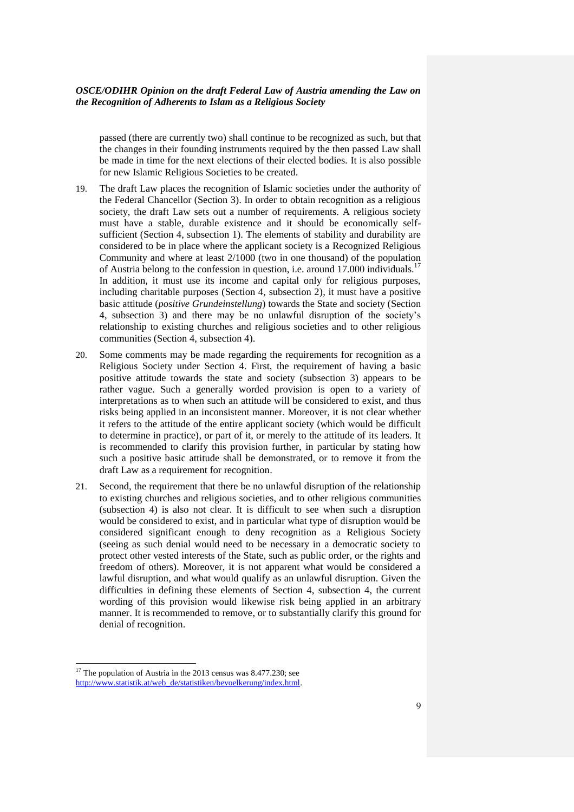passed (there are currently two) shall continue to be recognized as such, but that the changes in their founding instruments required by the then passed Law shall be made in time for the next elections of their elected bodies. It is also possible for new Islamic Religious Societies to be created.

- 19. The draft Law places the recognition of Islamic societies under the authority of the Federal Chancellor (Section 3). In order to obtain recognition as a religious society, the draft Law sets out a number of requirements. A religious society must have a stable, durable existence and it should be economically selfsufficient (Section 4, subsection 1). The elements of stability and durability are considered to be in place where the applicant society is a Recognized Religious Community and where at least 2/1000 (two in one thousand) of the population of Austria belong to the confession in question, i.e. around 17.000 individuals.<sup>17</sup> In addition, it must use its income and capital only for religious purposes, including charitable purposes (Section 4, subsection 2), it must have a positive basic attitude (*positive Grundeinstellung*) towards the State and society (Section 4, subsection 3) and there may be no unlawful disruption of the society's relationship to existing churches and religious societies and to other religious communities (Section 4, subsection 4).
- 20. Some comments may be made regarding the requirements for recognition as a Religious Society under Section 4. First, the requirement of having a basic positive attitude towards the state and society (subsection 3) appears to be rather vague. Such a generally worded provision is open to a variety of interpretations as to when such an attitude will be considered to exist, and thus risks being applied in an inconsistent manner. Moreover, it is not clear whether it refers to the attitude of the entire applicant society (which would be difficult to determine in practice), or part of it, or merely to the attitude of its leaders. It is recommended to clarify this provision further, in particular by stating how such a positive basic attitude shall be demonstrated, or to remove it from the draft Law as a requirement for recognition.
- 21. Second, the requirement that there be no unlawful disruption of the relationship to existing churches and religious societies, and to other religious communities (subsection 4) is also not clear. It is difficult to see when such a disruption would be considered to exist, and in particular what type of disruption would be considered significant enough to deny recognition as a Religious Society (seeing as such denial would need to be necessary in a democratic society to protect other vested interests of the State, such as public order, or the rights and freedom of others). Moreover, it is not apparent what would be considered a lawful disruption, and what would qualify as an unlawful disruption. Given the difficulties in defining these elements of Section 4, subsection 4, the current wording of this provision would likewise risk being applied in an arbitrary manner. It is recommended to remove, or to substantially clarify this ground for denial of recognition.

 $17$  The population of Austria in the 2013 census was 8.477.230; see [http://www.statistik.at/web\\_de/statistiken/bevoelkerung/index.html.](http://www.statistik.at/web_de/statistiken/bevoelkerung/index.html)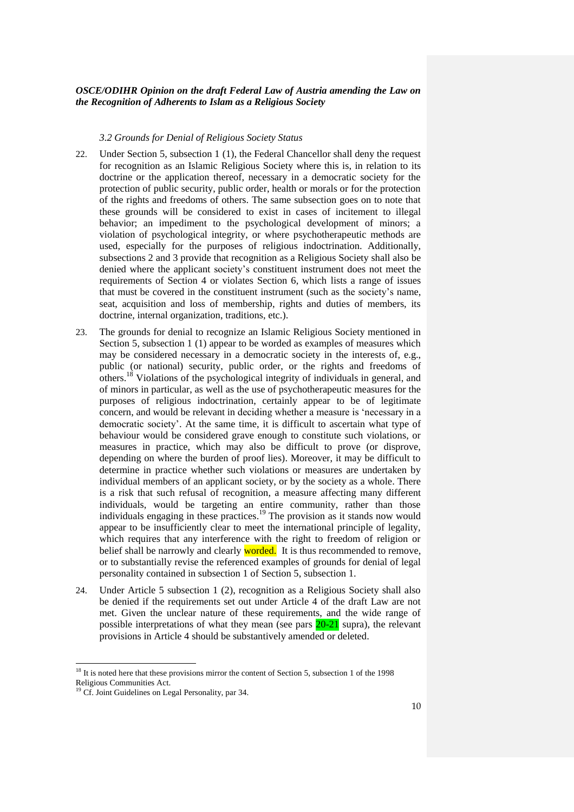#### *3.2 Grounds for Denial of Religious Society Status*

- 22. Under Section 5, subsection 1 (1), the Federal Chancellor shall deny the request for recognition as an Islamic Religious Society where this is, in relation to its doctrine or the application thereof, necessary in a democratic society for the protection of public security, public order, health or morals or for the protection of the rights and freedoms of others. The same subsection goes on to note that these grounds will be considered to exist in cases of incitement to illegal behavior; an impediment to the psychological development of minors; a violation of psychological integrity, or where psychotherapeutic methods are used, especially for the purposes of religious indoctrination. Additionally, subsections 2 and 3 provide that recognition as a Religious Society shall also be denied where the applicant society's constituent instrument does not meet the requirements of Section 4 or violates Section 6, which lists a range of issues that must be covered in the constituent instrument (such as the society's name, seat, acquisition and loss of membership, rights and duties of members, its doctrine, internal organization, traditions, etc.).
- 23. The grounds for denial to recognize an Islamic Religious Society mentioned in Section 5, subsection 1 (1) appear to be worded as examples of measures which may be considered necessary in a democratic society in the interests of, e.g., public (or national) security, public order, or the rights and freedoms of others. <sup>18</sup> Violations of the psychological integrity of individuals in general, and of minors in particular, as well as the use of psychotherapeutic measures for the purposes of religious indoctrination, certainly appear to be of legitimate concern, and would be relevant in deciding whether a measure is 'necessary in a democratic society'. At the same time, it is difficult to ascertain what type of behaviour would be considered grave enough to constitute such violations, or measures in practice, which may also be difficult to prove (or disprove, depending on where the burden of proof lies). Moreover, it may be difficult to determine in practice whether such violations or measures are undertaken by individual members of an applicant society, or by the society as a whole. There is a risk that such refusal of recognition, a measure affecting many different individuals, would be targeting an entire community, rather than those individuals engaging in these practices. <sup>19</sup> The provision as it stands now would appear to be insufficiently clear to meet the international principle of legality, which requires that any interference with the right to freedom of religion or belief shall be narrowly and clearly **worded**. It is thus recommended to remove, or to substantially revise the referenced examples of grounds for denial of legal personality contained in subsection 1 of Section 5, subsection 1.
- 24. Under Article 5 subsection 1 (2), recognition as a Religious Society shall also be denied if the requirements set out under Article 4 of the draft Law are not met. Given the unclear nature of these requirements, and the wide range of possible interpretations of what they mean (see pars  $20-21$  supra), the relevant provisions in Article 4 should be substantively amended or deleted.

<sup>&</sup>lt;sup>18</sup> It is noted here that these provisions mirror the content of Section 5, subsection 1 of the 1998 Religious Communities Act.

<sup>&</sup>lt;sup>19</sup> Cf. Joint Guidelines on Legal Personality, par 34.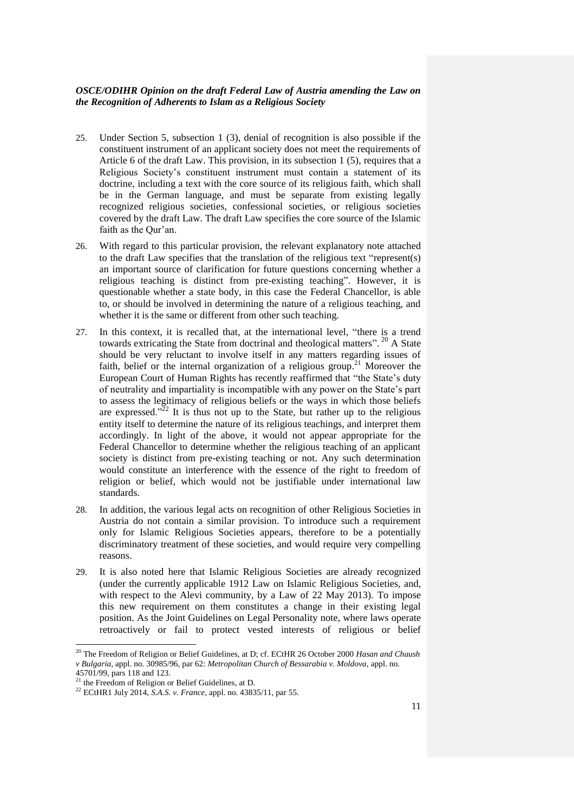- 25. Under Section 5, subsection 1 (3), denial of recognition is also possible if the constituent instrument of an applicant society does not meet the requirements of Article 6 of the draft Law. This provision, in its subsection 1 (5), requires that a Religious Society's constituent instrument must contain a statement of its doctrine, including a text with the core source of its religious faith, which shall be in the German language, and must be separate from existing legally recognized religious societies, confessional societies, or religious societies covered by the draft Law. The draft Law specifies the core source of the Islamic faith as the Qur'an.
- 26. With regard to this particular provision, the relevant explanatory note attached to the draft Law specifies that the translation of the religious text "represent(s) an important source of clarification for future questions concerning whether a religious teaching is distinct from pre-existing teaching". However, it is questionable whether a state body, in this case the Federal Chancellor, is able to, or should be involved in determining the nature of a religious teaching, and whether it is the same or different from other such teaching.
- 27. In this context, it is recalled that, at the international level, "there is a trend towards extricating the State from doctrinal and theological matters".<sup>20</sup> A State should be very reluctant to involve itself in any matters regarding issues of faith, belief or the internal organization of a religious group.<sup>21</sup> Moreover the European Court of Human Rights has recently reaffirmed that "the State's duty of neutrality and impartiality is incompatible with any power on the State's part to assess the legitimacy of religious beliefs or the ways in which those beliefs are expressed." $22$  It is thus not up to the State, but rather up to the religious entity itself to determine the nature of its religious teachings, and interpret them accordingly. In light of the above, it would not appear appropriate for the Federal Chancellor to determine whether the religious teaching of an applicant society is distinct from pre-existing teaching or not. Any such determination would constitute an interference with the essence of the right to freedom of religion or belief, which would not be justifiable under international law standards.
- 28. In addition, the various legal acts on recognition of other Religious Societies in Austria do not contain a similar provision. To introduce such a requirement only for Islamic Religious Societies appears, therefore to be a potentially discriminatory treatment of these societies, and would require very compelling reasons.
- 29. It is also noted here that Islamic Religious Societies are already recognized (under the currently applicable 1912 Law on Islamic Religious Societies, and, with respect to the Alevi community, by a Law of 22 May 2013). To impose this new requirement on them constitutes a change in their existing legal position. As the Joint Guidelines on Legal Personality note, where laws operate retroactively or fail to protect vested interests of religious or belief

<sup>20</sup> The Freedom of Religion or Belief Guidelines, at D; cf. ECtHR 26 October 2000 *Hasan and Chaush v Bulgaria,* appl. no. 30985/96, par 62: *Metropolitan Church of Bessarabia v. Moldova,* appl. no. 45701/99, pars 118 and 123.

 $^{21}$  the Freedom of Religion or Belief Guidelines, at D.

<sup>22</sup> ECtHR1 July 2014, *S.A.S. v. France*, appl. no. 43835/11, par 55.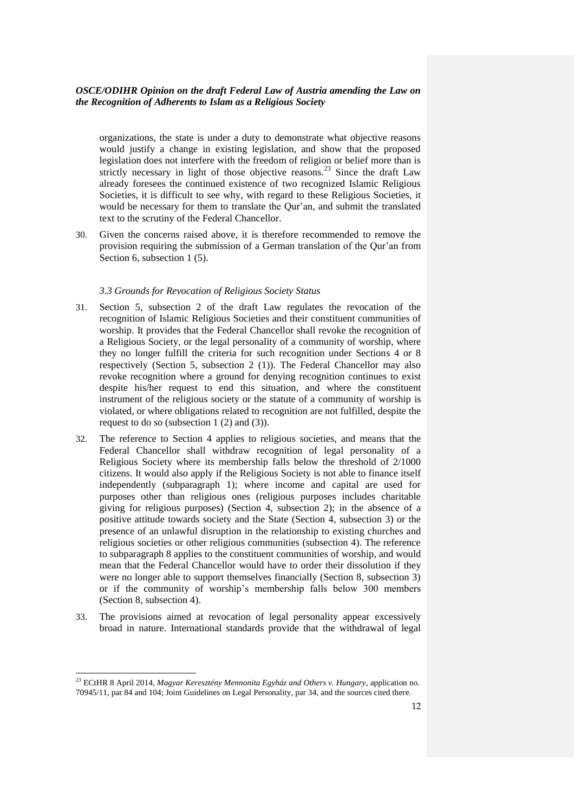organizations, the state is under a duty to demonstrate what objective reasons would justify a change in existing legislation, and show that the proposed legislation does not interfere with the freedom of religion or belief more than is strictly necessary in light of those objective reasons.<sup>23</sup> Since the draft Law already foresees the continued existence of two recognized Islamic Religious Societies, it is difficult to see why, with regard to these Religious Societies, it would be necessary for them to translate the Qur'an, and submit the translated text to the scrutiny of the Federal Chancellor.

30. Given the concerns raised above, it is therefore recommended to remove the provision requiring the submission of a German translation of the Qur'an from Section 6, subsection 1 (5).

#### *3.3 Grounds for Revocation of Religious Society Status*

- 31. Section 5, subsection 2 of the draft Law regulates the revocation of the recognition of Islamic Religious Societies and their constituent communities of worship. It provides that the Federal Chancellor shall revoke the recognition of a Religious Society, or the legal personality of a community of worship, where they no longer fulfill the criteria for such recognition under Sections 4 or 8 respectively (Section 5, subsection 2 (1)). The Federal Chancellor may also revoke recognition where a ground for denying recognition continues to exist despite his/her request to end this situation, and where the constituent instrument of the religious society or the statute of a community of worship is violated, or where obligations related to recognition are not fulfilled, despite the request to do so (subsection 1 (2) and (3)).
- 32. The reference to Section 4 applies to religious societies, and means that the Federal Chancellor shall withdraw recognition of legal personality of a Religious Society where its membership falls below the threshold of 2/1000 citizens. It would also apply if the Religious Society is not able to finance itself independently (subparagraph 1); where income and capital are used for purposes other than religious ones (religious purposes includes charitable giving for religious purposes) (Section 4, subsection 2); in the absence of a positive attitude towards society and the State (Section 4, subsection 3) or the presence of an unlawful disruption in the relationship to existing churches and religious societies or other religious communities (subsection 4). The reference to subparagraph 8 applies to the constituent communities of worship, and would mean that the Federal Chancellor would have to order their dissolution if they were no longer able to support themselves financially (Section 8, subsection 3) or if the community of worship's membership falls below 300 members (Section 8, subsection 4).
- 33. The provisions aimed at revocation of legal personality appear excessively broad in nature. International standards provide that the withdrawal of legal

<sup>23</sup> ECtHR 8 April 2014, *Magyar Keresztény Mennonita Egyház and Others v. Hungary,* application no. 70945/11, par 84 and 104; Joint Guidelines on Legal Personality, par 34, and the sources cited there.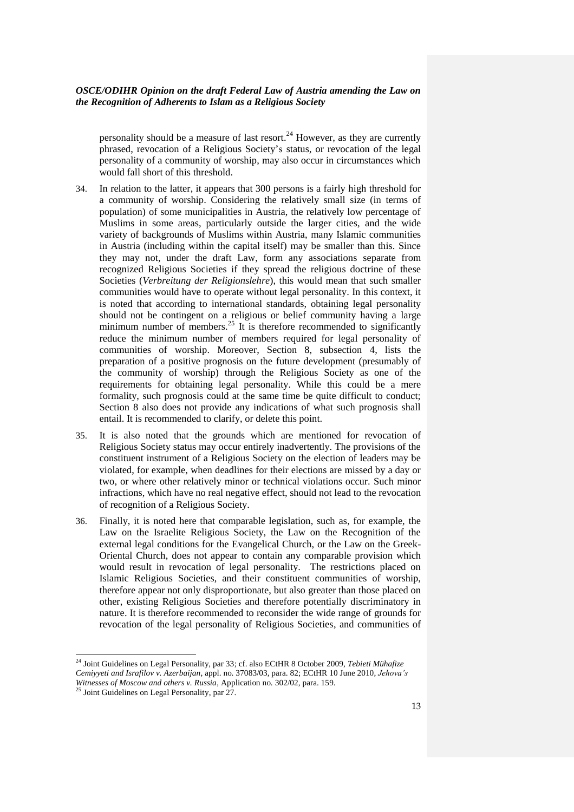personality should be a measure of last resort.<sup>24</sup> However, as they are currently phrased, revocation of a Religious Society's status, or revocation of the legal personality of a community of worship, may also occur in circumstances which would fall short of this threshold.

- 34. In relation to the latter, it appears that 300 persons is a fairly high threshold for a community of worship. Considering the relatively small size (in terms of population) of some municipalities in Austria, the relatively low percentage of Muslims in some areas, particularly outside the larger cities, and the wide variety of backgrounds of Muslims within Austria, many Islamic communities in Austria (including within the capital itself) may be smaller than this. Since they may not, under the draft Law, form any associations separate from recognized Religious Societies if they spread the religious doctrine of these Societies (*Verbreitung der Religionslehre*), this would mean that such smaller communities would have to operate without legal personality. In this context, it is noted that according to international standards, obtaining legal personality should not be contingent on a religious or belief community having a large minimum number of members.<sup>25</sup> It is therefore recommended to significantly reduce the minimum number of members required for legal personality of communities of worship. Moreover, Section 8, subsection 4, lists the preparation of a positive prognosis on the future development (presumably of the community of worship) through the Religious Society as one of the requirements for obtaining legal personality. While this could be a mere formality, such prognosis could at the same time be quite difficult to conduct; Section 8 also does not provide any indications of what such prognosis shall entail. It is recommended to clarify, or delete this point.
- 35. It is also noted that the grounds which are mentioned for revocation of Religious Society status may occur entirely inadvertently. The provisions of the constituent instrument of a Religious Society on the election of leaders may be violated, for example, when deadlines for their elections are missed by a day or two, or where other relatively minor or technical violations occur. Such minor infractions, which have no real negative effect, should not lead to the revocation of recognition of a Religious Society.
- 36. Finally, it is noted here that comparable legislation, such as, for example, the Law on the Israelite Religious Society, the Law on the Recognition of the external legal conditions for the Evangelical Church, or the Law on the Greek-Oriental Church, does not appear to contain any comparable provision which would result in revocation of legal personality. The restrictions placed on Islamic Religious Societies, and their constituent communities of worship, therefore appear not only disproportionate, but also greater than those placed on other, existing Religious Societies and therefore potentially discriminatory in nature. It is therefore recommended to reconsider the wide range of grounds for revocation of the legal personality of Religious Societies, and communities of

<sup>24</sup> Joint Guidelines on Legal Personality, par 33; cf. also ECtHR 8 October 2009, *Tebieti Mühafize Cemiyyeti and Israfilov v. Azerbaijan*, appl. no. 37083/03, para. 82; ECtHR 10 June 2010, *Jehova's Witnesses of Moscow and others v. Russia*, Application no. 302/02, para. 159.

<sup>&</sup>lt;sup>25</sup> Joint Guidelines on Legal Personality, par 27.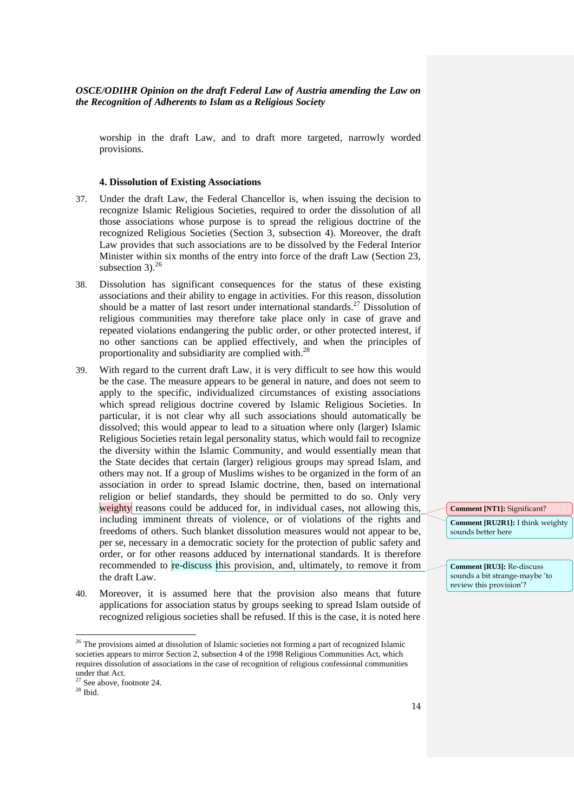worship in the draft Law, and to draft more targeted, narrowly worded provisions.

#### **4. Dissolution of Existing Associations**

- 37. Under the draft Law, the Federal Chancellor is, when issuing the decision to recognize Islamic Religious Societies, required to order the dissolution of all those associations whose purpose is to spread the religious doctrine of the recognized Religious Societies (Section 3, subsection 4). Moreover, the draft Law provides that such associations are to be dissolved by the Federal Interior Minister within six months of the entry into force of the draft Law (Section 23, subsection 3). $^{26}$
- 38. Dissolution has significant consequences for the status of these existing associations and their ability to engage in activities. For this reason, dissolution should be a matter of last resort under international standards. <sup>27</sup> Dissolution of religious communities may therefore take place only in case of grave and repeated violations endangering the public order, or other protected interest, if no other sanctions can be applied effectively, and when the principles of proportionality and subsidiarity are complied with.<sup>28</sup>
- 39. With regard to the current draft Law, it is very difficult to see how this would be the case. The measure appears to be general in nature, and does not seem to apply to the specific, individualized circumstances of existing associations which spread religious doctrine covered by Islamic Religious Societies. In particular, it is not clear why all such associations should automatically be dissolved; this would appear to lead to a situation where only (larger) Islamic Religious Societies retain legal personality status, which would fail to recognize the diversity within the Islamic Community, and would essentially mean that the State decides that certain (larger) religious groups may spread Islam, and others may not. If a group of Muslims wishes to be organized in the form of an association in order to spread Islamic doctrine, then, based on international religion or belief standards, they should be permitted to do so. Only very weighty reasons could be adduced for, in individual cases, not allowing this, including imminent threats of violence, or of violations of the rights and freedoms of others. Such blanket dissolution measures would not appear to be, per se, necessary in a democratic society for the protection of public safety and order, or for other reasons adduced by international standards. It is therefore recommended to re-discuss this provision, and, ultimately, to remove it from the draft Law.
- 40. Moreover, it is assumed here that the provision also means that future applications for association status by groups seeking to spread Islam outside of recognized religious societies shall be refused. If this is the case, it is noted here

 $\overline{\phantom{0}}$ 

**Comment [NT1]:** Significant? **Comment [RU2R1]:** I think weighty sounds better here

**Comment [RU3]:** Re-discuss sounds a bit strange-maybe 'to review this provision'?

 $26$  The provisions aimed at dissolution of Islamic societies not forming a part of recognized Islamic societies appears to mirror Section 2, subsection 4 of the 1998 Religious Communities Act, which requires dissolution of associations in the case of recognition of religious confessional communities under that Act.

 $27$  See above, footnote 24.

 $^\mathrm{28}$  Ibid.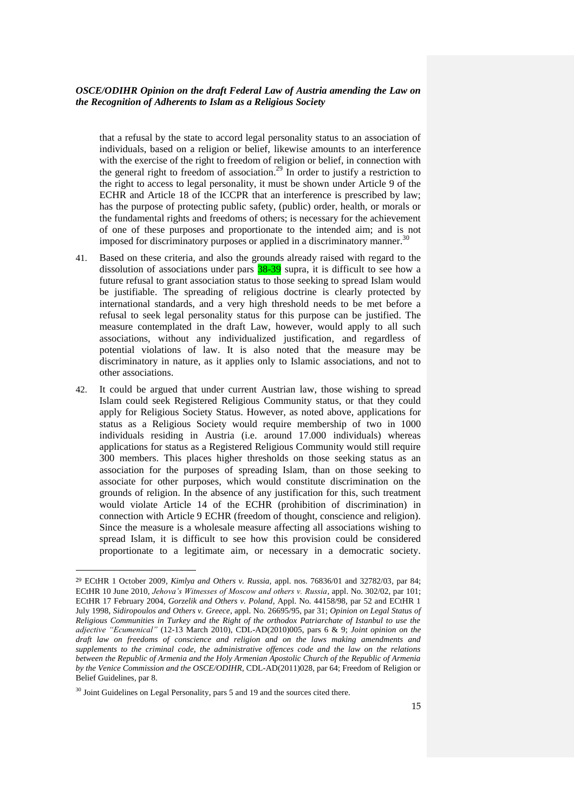that a refusal by the state to accord legal personality status to an association of individuals, based on a religion or belief, likewise amounts to an interference with the exercise of the right to freedom of religion or belief, in connection with the general right to freedom of association.<sup>29</sup> In order to justify a restriction to the right to access to legal personality, it must be shown under Article 9 of the ECHR and Article 18 of the ICCPR that an interference is prescribed by law; has the purpose of protecting public safety, (public) order, health, or morals or the fundamental rights and freedoms of others; is necessary for the achievement of one of these purposes and proportionate to the intended aim; and is not imposed for discriminatory purposes or applied in a discriminatory manner.<sup>30</sup>

- 41. Based on these criteria, and also the grounds already raised with regard to the dissolution of associations under pars  $38-39$  supra, it is difficult to see how a future refusal to grant association status to those seeking to spread Islam would be justifiable. The spreading of religious doctrine is clearly protected by international standards, and a very high threshold needs to be met before a refusal to seek legal personality status for this purpose can be justified. The measure contemplated in the draft Law, however, would apply to all such associations, without any individualized justification, and regardless of potential violations of law. It is also noted that the measure may be discriminatory in nature, as it applies only to Islamic associations, and not to other associations.
- 42. It could be argued that under current Austrian law, those wishing to spread Islam could seek Registered Religious Community status, or that they could apply for Religious Society Status. However, as noted above, applications for status as a Religious Society would require membership of two in 1000 individuals residing in Austria (i.e. around 17.000 individuals) whereas applications for status as a Registered Religious Community would still require 300 members. This places higher thresholds on those seeking status as an association for the purposes of spreading Islam, than on those seeking to associate for other purposes, which would constitute discrimination on the grounds of religion. In the absence of any justification for this, such treatment would violate Article 14 of the ECHR (prohibition of discrimination) in connection with Article 9 ECHR (freedom of thought, conscience and religion). Since the measure is a wholesale measure affecting all associations wishing to spread Islam, it is difficult to see how this provision could be considered proportionate to a legitimate aim, or necessary in a democratic society.

<sup>29</sup> ECtHR 1 October 2009*, Kimlya and Others v. Russia,* appl. nos. 76836/01 and 32782/03*,* par 84; ECtHR 10 June 2010, *Jehova's Witnesses of Moscow and others v. Russia*, appl. No. 302/02, par 101; ECtHR 17 February 2004, *Gorzelik and Others v. Poland,* Appl. No. 44158/98, par 52 and ECtHR 1 July 1998, *Sidiropoulos and Others v. Greece*, appl. No. 26695/95, par 31; *Opinion on Legal Status of Religious Communities in Turkey and the Right of the orthodox Patriarchate of Istanbul to use the adjective "Ecumenical"* (12-13 March 2010), CDL-AD(2010)005, pars 6 & 9; *Joint opinion on the draft law on freedoms of conscience and religion and on the laws making amendments and supplements to the criminal code, the administrative offences code and the law on the relations between the Republic of Armenia and the Holy Armenian Apostolic Church of the Republic of Armenia by the Venice Commission and the OSCE/ODIHR*, CDL-AD(2011)028, par 64; Freedom of Religion or Belief Guidelines, par 8.

<sup>&</sup>lt;sup>30</sup> Joint Guidelines on Legal Personality, pars 5 and 19 and the sources cited there.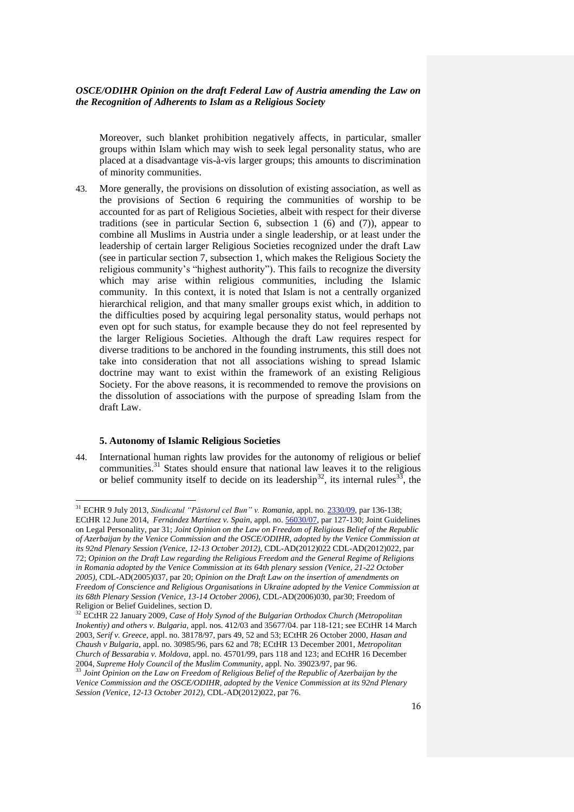Moreover, such blanket prohibition negatively affects, in particular, smaller groups within Islam which may wish to seek legal personality status, who are placed at a disadvantage vis-à-vis larger groups; this amounts to discrimination of minority communities.

43. More generally, the provisions on dissolution of existing association, as well as the provisions of Section 6 requiring the communities of worship to be accounted for as part of Religious Societies, albeit with respect for their diverse traditions (see in particular Section 6, subsection 1 (6) and (7)), appear to combine all Muslims in Austria under a single leadership, or at least under the leadership of certain larger Religious Societies recognized under the draft Law (see in particular section 7, subsection 1, which makes the Religious Society the religious community's "highest authority"). This fails to recognize the diversity which may arise within religious communities, including the Islamic community. In this context, it is noted that Islam is not a centrally organized hierarchical religion, and that many smaller groups exist which, in addition to the difficulties posed by acquiring legal personality status, would perhaps not even opt for such status, for example because they do not feel represented by the larger Religious Societies. Although the draft Law requires respect for diverse traditions to be anchored in the founding instruments, this still does not take into consideration that not all associations wishing to spread Islamic doctrine may want to exist within the framework of an existing Religious Society. For the above reasons, it is recommended to remove the provisions on the dissolution of associations with the purpose of spreading Islam from the draft Law.

#### **5. Autonomy of Islamic Religious Societies**

 $\overline{a}$ 

44. International human rights law provides for the autonomy of religious or belief communities.<sup>31</sup> States should ensure that national law leaves it to the religious or belief community itself to decide on its leadership<sup>32</sup>, its internal rules<sup>33</sup>, the

<sup>31</sup> ECHR 9 July 2013, *Sindicatul "Păstorul cel Bun" v. Romania*, appl. no[. 2330/09,](http://hudoc.echr.coe.int/sites/eng/Pages/search.aspx#{"appno":["2330/09"]}) par 136-138; ECtHR 12 June 2014, *Fernández Martínez v. Spain*, appl. no. [56030/07,](http://hudoc.echr.coe.int/sites/eng/Pages/search.aspx#{"appno":["56030/07"]}) par 127-130; Joint Guidelines on Legal Personality, par 31; *Joint Opinion on the Law on Freedom of Religious Belief of the Republic of Azerbaijan by the Venice Commission and the OSCE/ODIHR, adopted by the Venice Commission at its 92nd Plenary Session (Venice, 12-13 October 2012)*, CDL-AD(2012)022 CDL-AD(2012)022, par 72; *Opinion on the Draft Law regarding the Religious Freedom and the General Regime of Religions in Romania adopted by the Venice Commission at its 64th plenary session (Venice, 21-22 October 2005)*, CDL-AD(2005)037, par 20; *Opinion on the Draft Law on the insertion of amendments on Freedom of Conscience and Religious Organisations in Ukraine adopted by the Venice Commission at its 68th Plenary Session (Venice, 13-14 October 2006)*, CDL-AD(2006)030, par30; Freedom of Religion or Belief Guidelines, section D.

<sup>32</sup> ECtHR 22 January 2009, *Case of Holy Synod of the Bulgarian Orthodox Church (Metropolitan Inokentiy) and others v. Bulgaria,* appl. nos. 412/03 and 35677/04. par 118-121; see ECtHR 14 March 2003, *Serif v. Greece*, appl. no. 38178/97, pars 49, 52 and 53; ECtHR 26 October 2000, *Hasan and Chaush v Bulgaria,* appl. no. 30985/96*,* pars 62 and 78; ECtHR 13 December 2001, *Metropolitan Church of Bessarabia v. Moldova,* appl. no. 45701/99, pars 118 and 123; and ECtHR 16 December 2004, *Supreme Holy Council of the Muslim Community*, appl. No. 39023/97, par 96.

<sup>33</sup> *Joint Opinion on the Law on Freedom of Religious Belief of the Republic of Azerbaijan by the Venice Commission and the OSCE/ODIHR, adopted by the Venice Commission at its 92nd Plenary Session (Venice, 12-13 October 2012)*, CDL-AD(2012)022, par 76.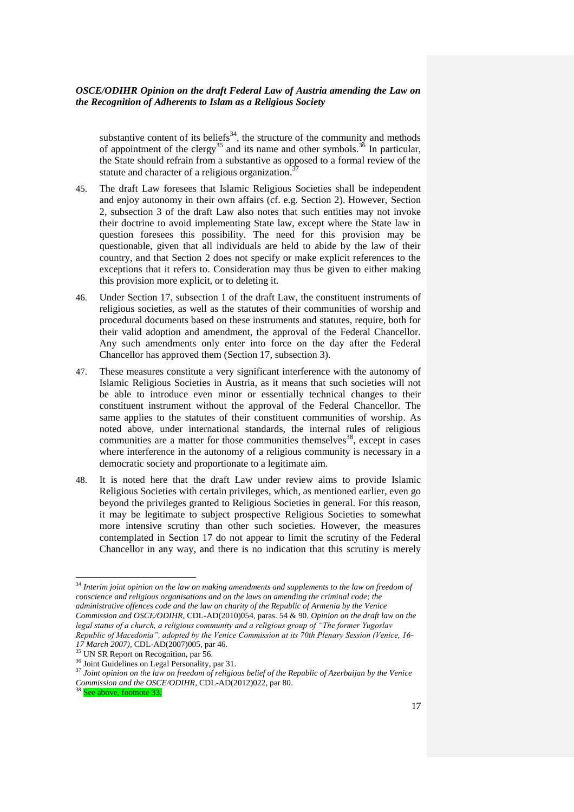substantive content of its beliefs<sup>34</sup>, the structure of the community and methods of appointment of the clergy<sup>35</sup> and its name and other symbols.<sup>36</sup> In particular, the State should refrain from a substantive as opposed to a formal review of the statute and character of a religious organization. 37

- 45. The draft Law foresees that Islamic Religious Societies shall be independent and enjoy autonomy in their own affairs (cf. e.g. Section 2). However, Section 2, subsection 3 of the draft Law also notes that such entities may not invoke their doctrine to avoid implementing State law, except where the State law in question foresees this possibility. The need for this provision may be questionable, given that all individuals are held to abide by the law of their country, and that Section 2 does not specify or make explicit references to the exceptions that it refers to. Consideration may thus be given to either making this provision more explicit, or to deleting it.
- 46. Under Section 17, subsection 1 of the draft Law, the constituent instruments of religious societies, as well as the statutes of their communities of worship and procedural documents based on these instruments and statutes, require, both for their valid adoption and amendment, the approval of the Federal Chancellor. Any such amendments only enter into force on the day after the Federal Chancellor has approved them (Section 17, subsection 3).
- 47. These measures constitute a very significant interference with the autonomy of Islamic Religious Societies in Austria, as it means that such societies will not be able to introduce even minor or essentially technical changes to their constituent instrument without the approval of the Federal Chancellor. The same applies to the statutes of their constituent communities of worship. As noted above, under international standards, the internal rules of religious communities are a matter for those communities themselves $38$ , except in cases where interference in the autonomy of a religious community is necessary in a democratic society and proportionate to a legitimate aim.
- 48. It is noted here that the draft Law under review aims to provide Islamic Religious Societies with certain privileges, which, as mentioned earlier, even go beyond the privileges granted to Religious Societies in general. For this reason, it may be legitimate to subject prospective Religious Societies to somewhat more intensive scrutiny than other such societies. However, the measures contemplated in Section 17 do not appear to limit the scrutiny of the Federal Chancellor in any way, and there is no indication that this scrutiny is merely

<sup>34</sup> Interim joint opinion on the law on making amendments and supplements to the law on freedom of *conscience and religious organisations and on the laws on amending the criminal code; the administrative offences code and the law on charity of the Republic of Armenia by the Venice Commission and OSCE/ODIHR*, CDL-AD(2010)054, paras. 54 & 90. *Opinion on the draft law on the legal status of a church, a religious community and a religious group of "The former Yugoslav Republic of Macedonia", adopted by the Venice Commission at its 70th Plenary Session (Venice, 16-*

*<sup>17</sup> March 2007)*, CDL-AD(2007)005, par 46.

 $\frac{35}{35}$  UN SR Report on Recognition, par 56.

<sup>&</sup>lt;sup>36</sup> Joint Guidelines on Legal Personality, par 31.

<sup>37</sup> *Joint opinion on the law on freedom of religious belief of the Republic of Azerbaijan by the Venice Commission and the OSCE/ODIHR*, CDL-AD(2012)022, par 80.

ee above, footnote 33.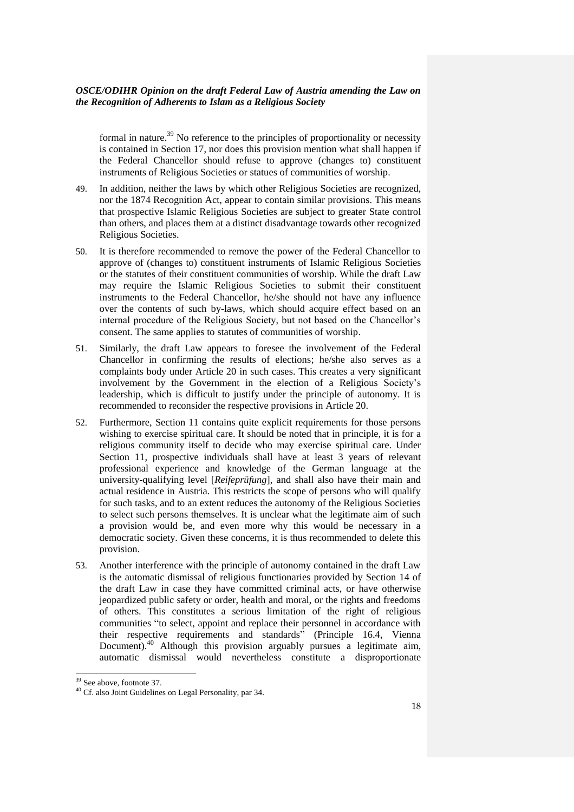formal in nature.<sup>39</sup> No reference to the principles of proportionality or necessity is contained in Section 17, nor does this provision mention what shall happen if the Federal Chancellor should refuse to approve (changes to) constituent instruments of Religious Societies or statues of communities of worship.

- 49. In addition, neither the laws by which other Religious Societies are recognized, nor the 1874 Recognition Act, appear to contain similar provisions. This means that prospective Islamic Religious Societies are subject to greater State control than others, and places them at a distinct disadvantage towards other recognized Religious Societies.
- 50. It is therefore recommended to remove the power of the Federal Chancellor to approve of (changes to) constituent instruments of Islamic Religious Societies or the statutes of their constituent communities of worship. While the draft Law may require the Islamic Religious Societies to submit their constituent instruments to the Federal Chancellor, he/she should not have any influence over the contents of such by-laws, which should acquire effect based on an internal procedure of the Religious Society, but not based on the Chancellor's consent. The same applies to statutes of communities of worship.
- 51. Similarly, the draft Law appears to foresee the involvement of the Federal Chancellor in confirming the results of elections; he/she also serves as a complaints body under Article 20 in such cases. This creates a very significant involvement by the Government in the election of a Religious Society's leadership, which is difficult to justify under the principle of autonomy. It is recommended to reconsider the respective provisions in Article 20.
- 52. Furthermore, Section 11 contains quite explicit requirements for those persons wishing to exercise spiritual care. It should be noted that in principle, it is for a religious community itself to decide who may exercise spiritual care. Under Section 11, prospective individuals shall have at least 3 years of relevant professional experience and knowledge of the German language at the university-qualifying level [*Reifeprüfung*], and shall also have their main and actual residence in Austria. This restricts the scope of persons who will qualify for such tasks, and to an extent reduces the autonomy of the Religious Societies to select such persons themselves. It is unclear what the legitimate aim of such a provision would be, and even more why this would be necessary in a democratic society. Given these concerns, it is thus recommended to delete this provision.
- 53. Another interference with the principle of autonomy contained in the draft Law is the automatic dismissal of religious functionaries provided by Section 14 of the draft Law in case they have committed criminal acts, or have otherwise jeopardized public safety or order, health and moral, or the rights and freedoms of others. This constitutes a serious limitation of the right of religious communities "to select, appoint and replace their personnel in accordance with their respective requirements and standards" (Principle 16.4, Vienna Document).<sup>40</sup> Although this provision arguably pursues a legitimate aim, automatic dismissal would nevertheless constitute a disproportionate

<sup>&</sup>lt;sup>39</sup> See above, footnote 37.

<sup>40</sup> Cf. also Joint Guidelines on Legal Personality, par 34.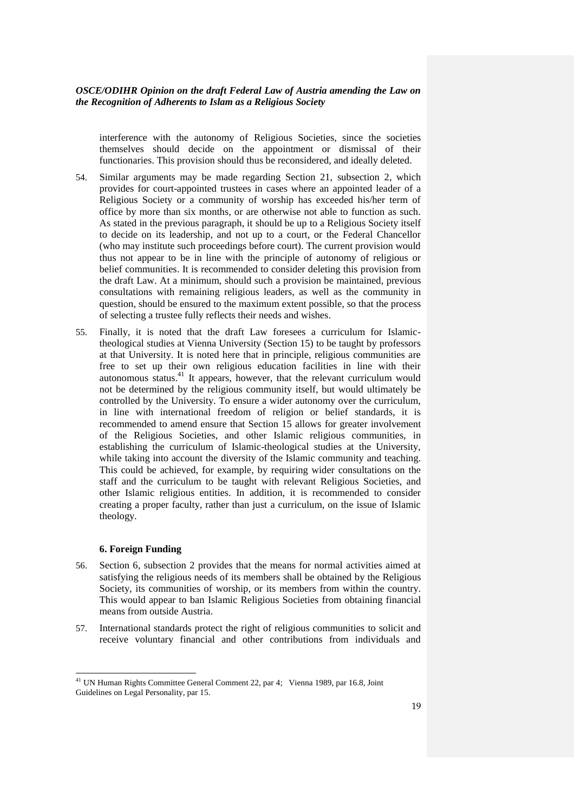interference with the autonomy of Religious Societies, since the societies themselves should decide on the appointment or dismissal of their functionaries. This provision should thus be reconsidered, and ideally deleted.

- 54. Similar arguments may be made regarding Section 21, subsection 2, which provides for court-appointed trustees in cases where an appointed leader of a Religious Society or a community of worship has exceeded his/her term of office by more than six months, or are otherwise not able to function as such. As stated in the previous paragraph, it should be up to a Religious Society itself to decide on its leadership, and not up to a court, or the Federal Chancellor (who may institute such proceedings before court). The current provision would thus not appear to be in line with the principle of autonomy of religious or belief communities. It is recommended to consider deleting this provision from the draft Law. At a minimum, should such a provision be maintained, previous consultations with remaining religious leaders, as well as the community in question, should be ensured to the maximum extent possible, so that the process of selecting a trustee fully reflects their needs and wishes.
- 55. Finally, it is noted that the draft Law foresees a curriculum for Islamictheological studies at Vienna University (Section 15) to be taught by professors at that University. It is noted here that in principle, religious communities are free to set up their own religious education facilities in line with their autonomous status.<sup>41</sup> It appears, however, that the relevant curriculum would not be determined by the religious community itself, but would ultimately be controlled by the University. To ensure a wider autonomy over the curriculum, in line with international freedom of religion or belief standards, it is recommended to amend ensure that Section 15 allows for greater involvement of the Religious Societies, and other Islamic religious communities, in establishing the curriculum of Islamic-theological studies at the University, while taking into account the diversity of the Islamic community and teaching. This could be achieved, for example, by requiring wider consultations on the staff and the curriculum to be taught with relevant Religious Societies, and other Islamic religious entities. In addition, it is recommended to consider creating a proper faculty, rather than just a curriculum, on the issue of Islamic theology.

#### **6. Foreign Funding**

- 56. Section 6, subsection 2 provides that the means for normal activities aimed at satisfying the religious needs of its members shall be obtained by the Religious Society, its communities of worship, or its members from within the country. This would appear to ban Islamic Religious Societies from obtaining financial means from outside Austria.
- 57. International standards protect the right of religious communities to solicit and receive voluntary financial and other contributions from individuals and

<sup>&</sup>lt;sup>41</sup> UN Human Rights Committee General Comment 22, par 4; Vienna 1989, par 16.8, Joint Guidelines on Legal Personality, par 15.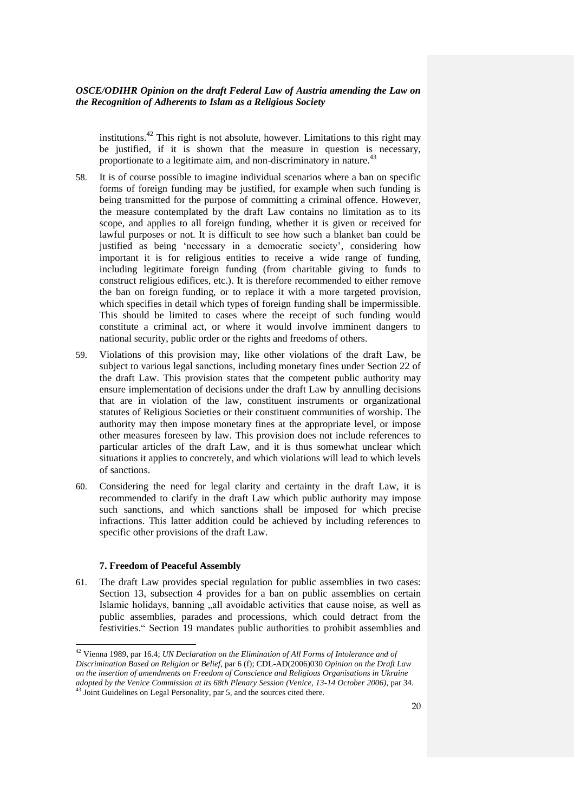institutions. <sup>42</sup> This right is not absolute, however. Limitations to this right may be justified, if it is shown that the measure in question is necessary, proportionate to a legitimate aim, and non-discriminatory in nature.<sup>4</sup>

- 58. It is of course possible to imagine individual scenarios where a ban on specific forms of foreign funding may be justified, for example when such funding is being transmitted for the purpose of committing a criminal offence. However, the measure contemplated by the draft Law contains no limitation as to its scope, and applies to all foreign funding, whether it is given or received for lawful purposes or not. It is difficult to see how such a blanket ban could be justified as being 'necessary in a democratic society', considering how important it is for religious entities to receive a wide range of funding, including legitimate foreign funding (from charitable giving to funds to construct religious edifices, etc.). It is therefore recommended to either remove the ban on foreign funding, or to replace it with a more targeted provision, which specifies in detail which types of foreign funding shall be impermissible. This should be limited to cases where the receipt of such funding would constitute a criminal act, or where it would involve imminent dangers to national security, public order or the rights and freedoms of others.
- 59. Violations of this provision may, like other violations of the draft Law, be subject to various legal sanctions, including monetary fines under Section 22 of the draft Law. This provision states that the competent public authority may ensure implementation of decisions under the draft Law by annulling decisions that are in violation of the law, constituent instruments or organizational statutes of Religious Societies or their constituent communities of worship. The authority may then impose monetary fines at the appropriate level, or impose other measures foreseen by law. This provision does not include references to particular articles of the draft Law, and it is thus somewhat unclear which situations it applies to concretely, and which violations will lead to which levels of sanctions.
- 60. Considering the need for legal clarity and certainty in the draft Law, it is recommended to clarify in the draft Law which public authority may impose such sanctions, and which sanctions shall be imposed for which precise infractions. This latter addition could be achieved by including references to specific other provisions of the draft Law.

#### **7. Freedom of Peaceful Assembly**

 $\overline{a}$ 

61. The draft Law provides special regulation for public assemblies in two cases: Section 13, subsection 4 provides for a ban on public assemblies on certain Islamic holidays, banning "all avoidable activities that cause noise, as well as public assemblies, parades and processions, which could detract from the festivities." Section 19 mandates public authorities to prohibit assemblies and

<sup>42</sup> Vienna 1989, par 16.4; *UN Declaration on the Elimination of All Forms of Intolerance and of Discrimination Based on Religion or Belief*, par 6 (f); CDL-AD(2006)030 *Opinion on the Draft Law on the insertion of amendments on Freedom of Conscience and Religious Organisations in Ukraine adopted by the Venice Commission at its 68th Plenary Session (Venice, 13-14 October 2006)*, par 34.

<sup>43</sup> Joint Guidelines on Legal Personality, par 5, and the sources cited there.